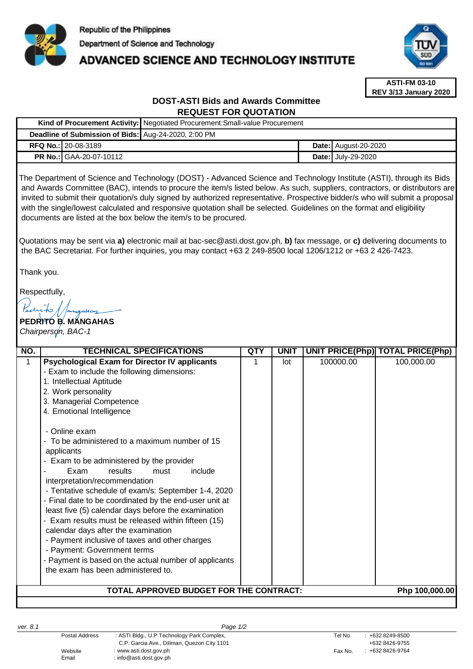

# **ADVANCED SCIENCE AND TECHNOLOGY INSTITUTE**



**ASTI-FM 03-10 REV 3/13 January 2020**

# **DOST-ASTI Bids and Awards Committee REQUEST FOR QUOTATION**

|                                                      |                                | Kind of Procurement Activity: Negotiated Procurement: Small-value Procurement |  |                             |  |
|------------------------------------------------------|--------------------------------|-------------------------------------------------------------------------------|--|-----------------------------|--|
| Deadline of Submission of Bids: Aug-24-2020, 2:00 PM |                                |                                                                               |  |                             |  |
|                                                      | <b>RFQ No.: 20-08-3189</b>     |                                                                               |  | <b>Date:</b> August-20-2020 |  |
|                                                      | <b>PR No.: GAA-20-07-10112</b> |                                                                               |  | <b>Date: July-29-2020</b>   |  |

The Department of Science and Technology (DOST) - Advanced Science and Technology Institute (ASTI), through its Bids and Awards Committee (BAC), intends to procure the item/s listed below. As such, suppliers, contractors, or distributors are invited to submit their quotation/s duly signed by authorized representative. Prospective bidder/s who will submit a proposal with the single/lowest calculated and responsive quotation shall be selected. Guidelines on the format and eligibility documents are listed at the box below the item/s to be procured.

Quotations may be sent via **a)** [electronic mail at bac-sec@asti.dost.gov.ph,](mailto:bac-sec@asti.dost.gov.ph) **b)** fax message, or **c)** delivering documents to the BAC Secretariat. For further inquiries, you may contact +63 2 249-8500 local 1206/1212 or +63 2 426-7423.

Thank you.

Respectfully,

# **PEDRITO B. MANGAHAS** *Chairperson, BAC-1*

| NO.                                                       | <b>TECHNICAL SPECIFICATIONS</b>                                                                                                                                                                                                                                                                                                                                                                                                                                                                                                                                                                                                                                                                                                                                                                                                                                        | QTY | <b>UNIT</b> |           | UNIT PRICE(Php) TOTAL PRICE(Php) |  |  |  |
|-----------------------------------------------------------|------------------------------------------------------------------------------------------------------------------------------------------------------------------------------------------------------------------------------------------------------------------------------------------------------------------------------------------------------------------------------------------------------------------------------------------------------------------------------------------------------------------------------------------------------------------------------------------------------------------------------------------------------------------------------------------------------------------------------------------------------------------------------------------------------------------------------------------------------------------------|-----|-------------|-----------|----------------------------------|--|--|--|
| 1                                                         | <b>Psychological Exam for Director IV applicants</b><br>- Exam to include the following dimensions:<br>1. Intellectual Aptitude<br>2. Work personality<br>3. Managerial Competence<br>4. Emotional Intelligence<br>- Online exam<br>To be administered to a maximum number of 15<br>applicants<br>Exam to be administered by the provider<br>Exam<br>results<br>include<br>must<br>interpretation/recommendation<br>- Tentative schedule of exam/s: September 1-4, 2020<br>- Final date to be coordinated by the end-user unit at<br>least five (5) calendar days before the examination<br>- Exam results must be released within fifteen (15)<br>calendar days after the examination<br>- Payment inclusive of taxes and other charges<br>- Payment: Government terms<br>- Payment is based on the actual number of applicants<br>the exam has been administered to. |     | lot         | 100000.00 | 100,000.00                       |  |  |  |
| TOTAL APPROVED BUDGET FOR THE CONTRACT:<br>Php 100,000.00 |                                                                                                                                                                                                                                                                                                                                                                                                                                                                                                                                                                                                                                                                                                                                                                                                                                                                        |     |             |           |                                  |  |  |  |
|                                                           |                                                                                                                                                                                                                                                                                                                                                                                                                                                                                                                                                                                                                                                                                                                                                                                                                                                                        |     |             |           |                                  |  |  |  |